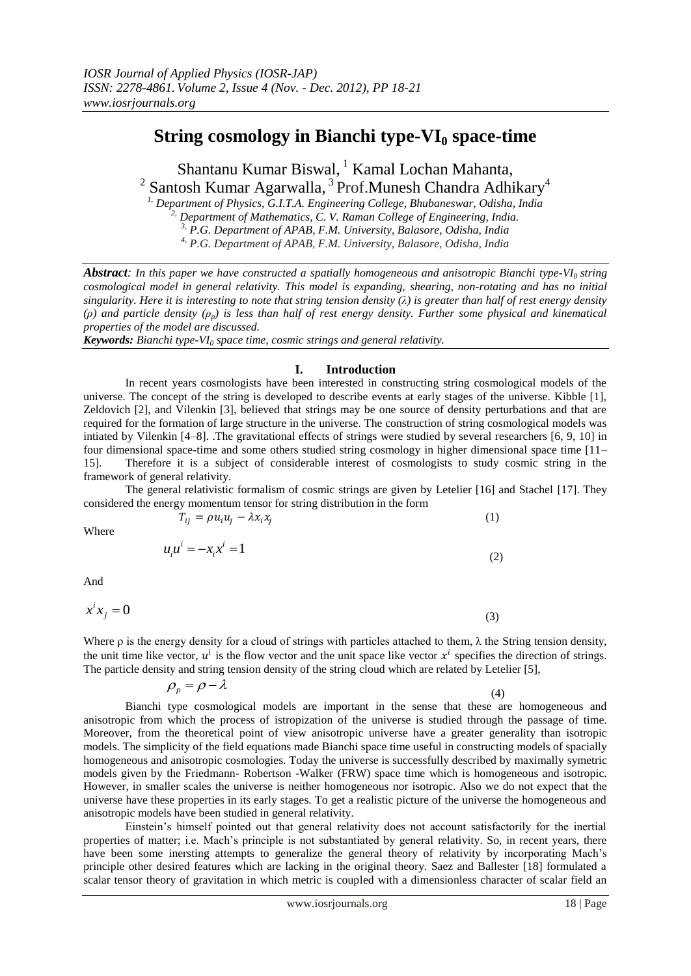# **String cosmology in Bianchi type-VI<sup>0</sup> space-time**

Shantanu Kumar Biswal, <sup>1</sup> Kamal Lochan Mahanta,  $^2$  Santosh Kumar Agarwalla,  $^3$  Prof.Munesh Chandra Adhikary $^4$ 

*1, Department of Physics, G.I.T.A. Engineering College, Bhubaneswar, Odisha, India 2, Department of Mathematics, C. V. Raman College of Engineering, India. 3, P.G. Department of APAB, F.M. University, Balasore, Odisha, India*

*4, P.G. Department of APAB, F.M. University, Balasore, Odisha, India*

*Abstract: In this paper we have constructed a spatially homogeneous and anisotropic Bianchi type-VI0 string cosmological model in general relativity. This model is expanding, shearing, non-rotating and has no initial singularity. Here it is interesting to note that string tension density (λ) is greater than half of rest energy density (ρ) and particle density (ρp) is less than half of rest energy density. Further some physical and kinematical properties of the model are discussed.*

*Keywords: Bianchi type-VI<sup>0</sup> space time, cosmic strings and general relativity.*

# **I. Introduction**

In recent years cosmologists have been interested in constructing string cosmological models of the universe. The concept of the string is developed to describe events at early stages of the universe. Kibble [1], Zeldovich [2], and Vilenkin [3], believed that strings may be one source of density perturbations and that are required for the formation of large structure in the universe. The construction of string cosmological models was intiated by Vilenkin [4–8]. .The gravitational effects of strings were studied by several researchers [6, 9, 10] in four dimensional space-time and some others studied string cosmology in higher dimensional space time [11– 15]. Therefore it is a subject of considerable interest of cosmologists to study cosmic string in the framework of general relativity.

The general relativistic formalism of cosmic strings are given by Letelier [16] and Stachel [17]. They considered the energy momentum tensor for string distribution in the form

$$
T_{ij} = \rho u_i u_j - \lambda x_i x_j \tag{1}
$$

Where

$$
u_i u^i = -x_i x^i = 1 \tag{2}
$$

And

$$
x^i x_j = 0 \tag{3}
$$

Where  $\rho$  is the energy density for a cloud of strings with particles attached to them,  $\lambda$  the String tension density, the unit time like vector,  $u^i$  is the flow vector and the unit space like vector  $x^i$  specifies the direction of strings. The particle density and string tension density of the string cloud which are related by Letelier [5],

$$
\rho_p = \rho - \lambda \tag{4}
$$

Bianchi type cosmological models are important in the sense that these are homogeneous and anisotropic from which the process of istropization of the universe is studied through the passage of time. Moreover, from the theoretical point of view anisotropic universe have a greater generality than isotropic models. The simplicity of the field equations made Bianchi space time useful in constructing models of spacially homogeneous and anisotropic cosmologies. Today the universe is successfully described by maximally symetric models given by the Friedmann- Robertson -Walker (FRW) space time which is homogeneous and isotropic. However, in smaller scales the universe is neither homogeneous nor isotropic. Also we do not expect that the universe have these properties in its early stages. To get a realistic picture of the universe the homogeneous and anisotropic models have been studied in general relativity.

Einstein's himself pointed out that general relativity does not account satisfactorily for the inertial properties of matter; i.e. Mach's principle is not substantiated by general relativity. So, in recent years, there have been some inersting attempts to generalize the general theory of relativity by incorporating Mach's principle other desired features which are lacking in the original theory. Saez and Ballester [18] formulated a scalar tensor theory of gravitation in which metric is coupled with a dimensionless character of scalar field an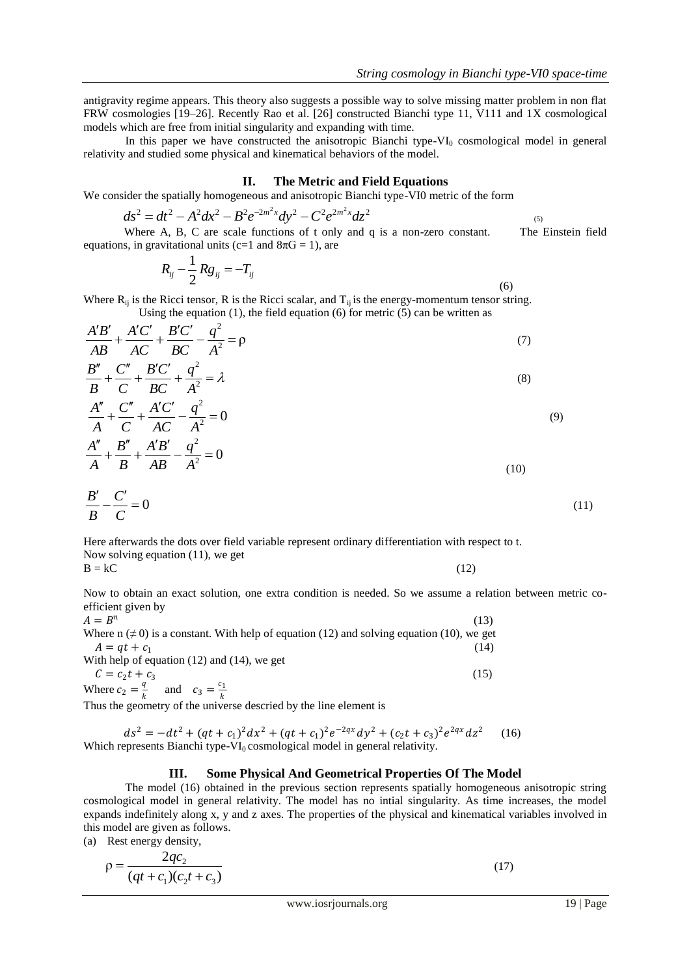antigravity regime appears. This theory also suggests a possible way to solve missing matter problem in non flat FRW cosmologies [19–26]. Recently Rao et al. [26] constructed Bianchi type 11, V111 and 1X cosmological models which are free from initial singularity and expanding with time.

In this paper we have constructed the anisotropic Bianchi type- $VI_0$  cosmological model in general relativity and studied some physical and kinematical behaviors of the model.

#### **II. The Metric and Field Equations**

We consider the spatially homogeneous and anisotropic Bianchi type-VI0 metric of the form

$$
ds^{2} = dt^{2} - A^{2}dx^{2} - B^{2}e^{-2m^{2}x}dy^{2} - C^{2}e^{2m^{2}x}dz^{2}
$$
  
Where A, B, C are scale functions of t only and q is a non-zero constant. The Einstein field

equations, in gravitational units (c=1 and  $8\pi G = 1$ ), are

$$
R_{ij}-\frac{1}{2}Rg_{ij}=-T_{ij}
$$

(6)

Where  $R_{ii}$  is the Ricci tensor, R is the Ricci scalar, and  $T_{ii}$  is the energy-momentum tensor string. Using the equation (1), the field equation (6) for metric  $(5)$  can be written as

$$
\frac{A'B'}{AB} + \frac{A'C'}{AC} + \frac{B'C'}{BC} - \frac{q^2}{A^2} = \rho
$$
\n<sup>(7)</sup>

$$
\frac{B''}{B} + \frac{C''}{C} + \frac{B'C'}{BC} + \frac{q^2}{A^2} = \lambda
$$
\n<sup>(8)</sup>

$$
\frac{A''}{A} + \frac{C''}{C} + \frac{A'C'}{AC} - \frac{q^2}{A^2} = 0
$$
\n(9)

$$
\frac{A''}{A} + \frac{B''}{B} + \frac{A'B'}{AB} - \frac{q^2}{A^2} = 0
$$
\n(10)

$$
\frac{B'}{B} - \frac{C'}{C} = 0\tag{11}
$$

Here afterwards the dots over field variable represent ordinary differentiation with respect to t. Now solving equation (11), we get  $B = kC$  (12)

Now to obtain an exact solution, one extra condition is needed. So we assume a relation between metric coefficient given by

 $A=B^n$  (13) Where  $n \neq 0$  is a constant. With help of equation (12) and solving equation (10), we get  $A = qt + c_1$  (14) With help of equation (12) and (14), we get  $C = c_2 t + c_3$  $(15)$  $\overline{q}$ 

Where 
$$
c_2 = \frac{q}{k}
$$
 and  $c_3 = \frac{c_1}{k}$   
Thus the geometry of the universe described by the line element is

 $ds^2 = -dt^2 + (qt + c_1)^2 dx^2 + (qt + c_1)^2 e^{-2qx} dy^2 + (c_2t + c_3)^2 e^{2qx} dz^2$  (16) Which represents Bianchi type- $\overline{VI_0}$  cosmological model in general relativity.

#### **III. Some Physical And Geometrical Properties Of The Model**

The model (16) obtained in the previous section represents spatially homogeneous anisotropic string cosmological model in general relativity. The model has no intial singularity. As time increases, the model expands indefinitely along x, y and z axes. The properties of the physical and kinematical variables involved in this model are given as follows.

(a) Rest energy density,

$$
\rho = \frac{2qc_2}{(qt + c_1)(c_2t + c_3)}
$$
\n(17)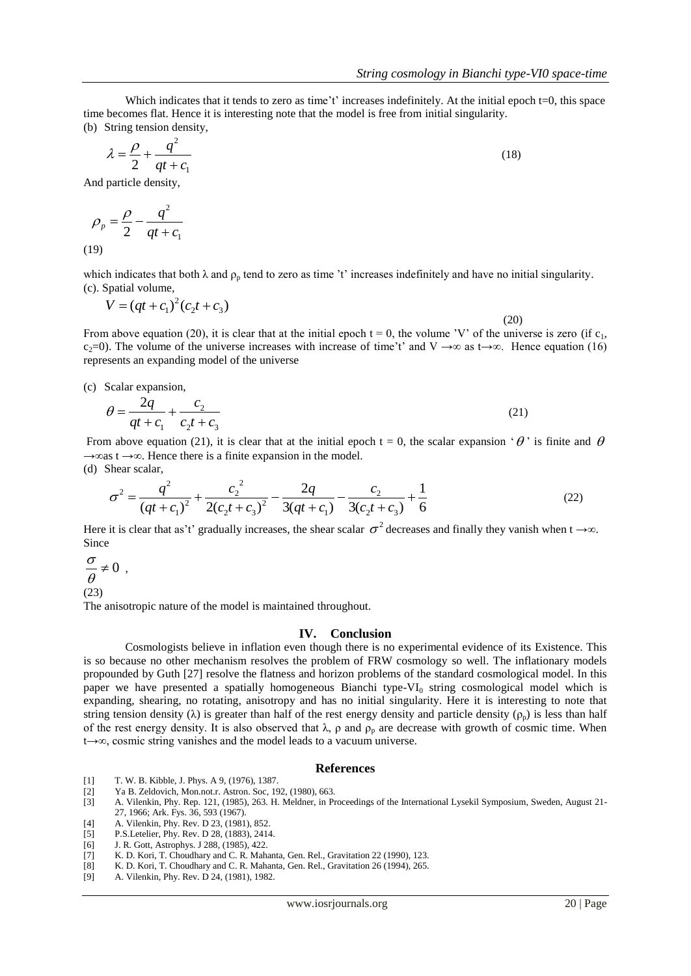Which indicates that it tends to zero as time't' increases indefinitely. At the initial epoch  $t=0$ , this space time becomes flat. Hence it is interesting note that the model is free from initial singularity. (b) String tension density,

$$
\lambda = \frac{\rho}{2} + \frac{q^2}{qt + c_1} \tag{18}
$$

And particle density,

$$
\rho_p = \frac{\rho}{2} - \frac{q^2}{qt + c_1}
$$
\n(19)

which indicates that both  $\lambda$  and  $\rho_p$  tend to zero as time 't' increases indefinitely and have no initial singularity. (c). Spatial volume,

$$
V = (qt + c_1)^2 (c_2 t + c_3)
$$
\n(20)

From above equation (20), it is clear that at the initial epoch  $t = 0$ , the volume 'V' of the universe is zero (if c<sub>1</sub>, c<sub>2</sub>=0). The volume of the universe increases with increase of time't' and V →∞ as t→∞. Hence equation (16) represents an expanding model of the universe

(c) Scalar expansion,

$$
\theta = \frac{2q}{qt + c_1} + \frac{c_2}{c_2t + c_3} \tag{21}
$$

From above equation (21), it is clear that at the initial epoch  $t = 0$ , the scalar expansion ' $\theta$ ' is finite and  $\theta$  $\rightarrow \infty$ as t $\rightarrow \infty$ . Hence there is a finite expansion in the model. (d) Shear scalar,

$$
\sigma^2 = \frac{q^2}{(qt + c_1)^2} + \frac{c_2^2}{2(c_2t + c_3)^2} - \frac{2q}{3(qt + c_1)} - \frac{c_2}{3(c_2t + c_3)} + \frac{1}{6}
$$
(22)

Here it is clear that as't' gradually increases, the shear scalar  $\sigma^2$  decreases and finally they vanish when t →∞. Since

$$
\frac{\sigma}{\theta} \neq 0
$$
  
(23)

,

The anisotropic nature of the model is maintained throughout.

 $2^{\iota}$   $\tau$   $\mathfrak{c}_3$ 

## **IV. Conclusion**

Cosmologists believe in inflation even though there is no experimental evidence of its Existence. This is so because no other mechanism resolves the problem of FRW cosmology so well. The inflationary models propounded by Guth [27] resolve the flatness and horizon problems of the standard cosmological model. In this paper we have presented a spatially homogeneous Bianchi type-VI $_0$  string cosmological model which is expanding, shearing, no rotating, anisotropy and has no initial singularity. Here it is interesting to note that string tension density ( $\lambda$ ) is greater than half of the rest energy density and particle density ( $\rho_p$ ) is less than half of the rest energy density. It is also observed that  $\lambda$ ,  $\rho$  and  $\rho_p$  are decrease with growth of cosmic time. When t→∞, cosmic string vanishes and the model leads to a vacuum universe.

## **References**

[1] T. W. B. Kibble, J. Phys. A 9, (1976), 1387.

1

- [2] Ya B. Zeldovich, Mon.not.r. Astron. Soc, 192, (1980), 663.
- [3] A. Vilenkin, Phy. Rep. 121, (1985), 263. H. Meldner, in Proceedings of the International Lysekil Symposium, Sweden, August 21- 27, 1966; Ark. Fys. 36, 593 (1967).
- [4] A. Vilenkin, Phy. Rev. D 23, (1981), 852.
- [5] P.S.Letelier, Phy. Rev. D 28, (1883), 2414.
- [6] J. R. Gott, Astrophys. J 288, (1985), 422.
- [7] K. D. Kori, T. Choudhary and C. R. Mahanta, Gen. Rel., Gravitation 22 (1990), 123.
- [8] K. D. Kori, T. Choudhary and C. R. Mahanta, Gen. Rel., Gravitation 26 (1994), 265.
- [9] A. Vilenkin, Phy. Rev. D 24, (1981), 1982.